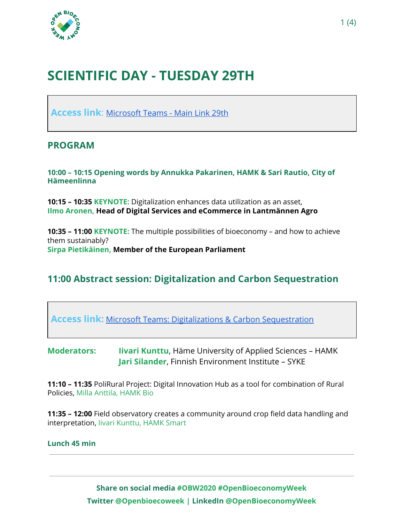

# **SCIENTIFIC DAY - TUESDAY 29TH**

**Access link**: [Microsoft Teams - Main Link 29th](https://teams.microsoft.com/l/meetup-join/19%3ameeting_MmJiYmJkNTgtZmJiNS00MmQ5LWJmOGMtNDRkMjQ3MzExNzkz%40thread.v2/0?context=%7b%22Tid%22%3a%22fbd2f045-b34c-4673-9534-8f2374355cec%22%2c%22Oid%22%3a%228c2882a5-f139-47b1-9396-5ded6d36035c%22%7d)

### **PROGRAM**

**10:00 – 10:15 Opening words by Annukka Pakarinen, HAMK & Sari Rautio, City of Hämeenlinna**

**10:15 – 10:35 KEYNOTE:** Digitalization enhances data utilization as an asset, **Ilmo Aronen, Head of Digital Services and eCommerce in Lantmännen Agro**

**10:35 – 11:00 KEYNOTE:** The multiple possibilities of bioeconomy – and how to achieve them sustainably? **Sirpa Pietikäinen, Member of the European Parliament**

## **11:00 Abstract session: Digitalization and Carbon Sequestration**

**Access link:** [Microsoft Teams: Digitalizations & Carbon Sequestration](https://teams.microsoft.com/l/meetup-join/19%3ameeting_NmNmM2RhZTAtNjRlYy00ODMxLTliOTUtNTA0MDQzMmRjMzQw%40thread.v2/0?context=%7b%22Tid%22%3a%22fbd2f045-b34c-4673-9534-8f2374355cec%22%2c%22Oid%22%3a%228c2882a5-f139-47b1-9396-5ded6d36035c%22%7d)

**Moderators: Iivari Kunttu**, Häme University of Applied Sciences – HAMK **Jari Silander**, Finnish Environment Institute – SYKE

**11:10 – 11:35** PoliRural Project: Digital Innovation Hub as a tool for combination of Rural Policies, Milla Anttila, HAMK Bio

**11:35 – 12:00** Field observatory creates a community around crop field data handling and interpretation, Iivari Kunttu, HAMK Smart

#### **Lunch 45 min**

**Share on social media #OBW2020 #OpenBioeconomyWeek Twitter @Openbioecoweek | LinkedIn @OpenBioeconomyWeek**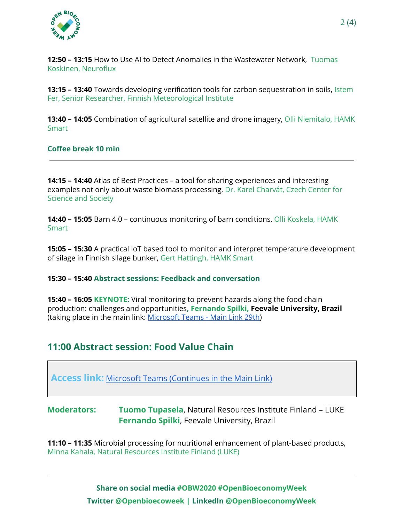

**12:50 – 13:15** How to Use AI to Detect Anomalies in the Wastewater Network, Tuomas Koskinen, Neuroflux

**13:15 – 13:40** Towards developing verification tools for carbon sequestration in soils, Istem Fer, Senior Researcher, Finnish Meteorological Institute

**13:40 – 14:05** Combination of agricultural satellite and drone imagery, Olli Niemitalo, HAMK **Smart** 

**Coffee break 10 min**

**14:15 – 14:40** Atlas of Best Practices – a tool for sharing experiences and interesting examples not only about waste biomass processing, Dr. Karel Charvát, Czech Center for Science and Society

**14:40 – 15:05** Barn 4.0 – continuous monitoring of barn conditions, Olli Koskela, HAMK **Smart** 

**15:05 – 15:30** A practical IoT based tool to monitor and interpret temperature development of silage in Finnish silage bunker, Gert Hattingh, HAMK Smart

#### **15:30 – 15:40 Abstract sessions: Feedback and conversation**

**15:40 – 16:05 KEYNOTE:** Viral monitoring to prevent hazards along the food chain production: challenges and opportunities**, Fernando Spilki, Feevale University, Brazil** (taking place in the main link: [Microsoft](https://teams.microsoft.com/l/meetup-join/19%3ameeting_MmJiYmJkNTgtZmJiNS00MmQ5LWJmOGMtNDRkMjQ3MzExNzkz%40thread.v2/0?context=%7b%22Tid%22%3a%22fbd2f045-b34c-4673-9534-8f2374355cec%22%2c%22Oid%22%3a%228c2882a5-f139-47b1-9396-5ded6d36035c%22%7d) Teams - Main Link 29th)

### **11:00 Abstract session: Food Value Chain**

**Access link:** [Microsoft Teams \(Continues in the Main Link\)](https://teams.microsoft.com/l/meetup-join/19%3ameeting_MmJiYmJkNTgtZmJiNS00MmQ5LWJmOGMtNDRkMjQ3MzExNzkz%40thread.v2/0?context=%7b%22Tid%22%3a%22fbd2f045-b34c-4673-9534-8f2374355cec%22%2c%22Oid%22%3a%228c2882a5-f139-47b1-9396-5ded6d36035c%22%7d)

**Moderators: Tuomo Tupasela**, Natural Resources Institute Finland – LUKE **Fernando Spilki**, Feevale University, Brazil

**11:10 – 11:35** Microbial processing for nutritional enhancement of plant-based products, Minna Kahala, Natural Resources Institute Finland (LUKE)

> **Share on social media #OBW2020 #OpenBioeconomyWeek Twitter @Openbioecoweek | LinkedIn @OpenBioeconomyWeek**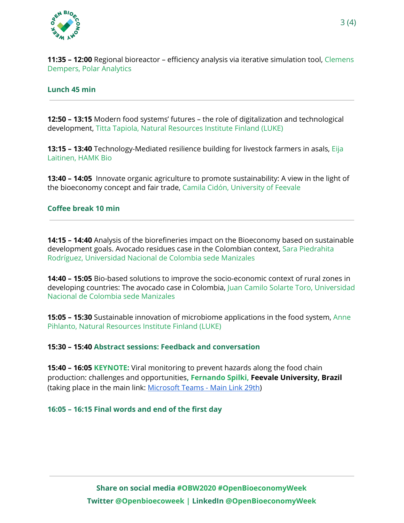

**11:35 – 12:00** Regional bioreactor – efficiency analysis via iterative simulation tool, Clemens Dempers, Polar Analytics

#### **Lunch 45 min**

**12:50 – 13:15** Modern food systems' futures – the role of digitalization and technological development, Titta Tapiola, Natural Resources Institute Finland (LUKE)

**13:15 – 13:40** Technology-Mediated resilience building for livestock farmers in asals, Eija Laitinen, HAMK Bio

**13:40 – 14:05** Innovate organic agriculture to promote sustainability: A view in the light of the bioeconomy concept and fair trade, Camila Cidón, University of Feevale

#### **Coffee break 10 min**

**14:15 – 14:40** Analysis of the biorefineries impact on the Bioeconomy based on sustainable development goals. Avocado residues case in the Colombian context, Sara Piedrahita Rodríguez, Universidad Nacional de Colombia sede Manizales

**14:40 – 15:05** Bio-based solutions to improve the socio-economic context of rural zones in developing countries: The avocado case in Colombia, Juan Camilo Solarte Toro, Universidad Nacional de Colombia sede Manizales

**15:05 – 15:30** Sustainable innovation of microbiome applications in the food system, Anne Pihlanto, Natural Resources Institute Finland (LUKE)

#### **15:30 – 15:40 Abstract sessions: Feedback and conversation**

**15:40 – 16:05 KEYNOTE:** Viral monitoring to prevent hazards along the food chain production: challenges and opportunities**, Fernando Spilki, Feevale University, Brazil** (taking place in the main link: [Microsoft](https://teams.microsoft.com/l/meetup-join/19%3ameeting_MmJiYmJkNTgtZmJiNS00MmQ5LWJmOGMtNDRkMjQ3MzExNzkz%40thread.v2/0?context=%7b%22Tid%22%3a%22fbd2f045-b34c-4673-9534-8f2374355cec%22%2c%22Oid%22%3a%228c2882a5-f139-47b1-9396-5ded6d36035c%22%7d) Teams - Main Link 29th)

**16:05 – 16:15 Final words and end of the first day**